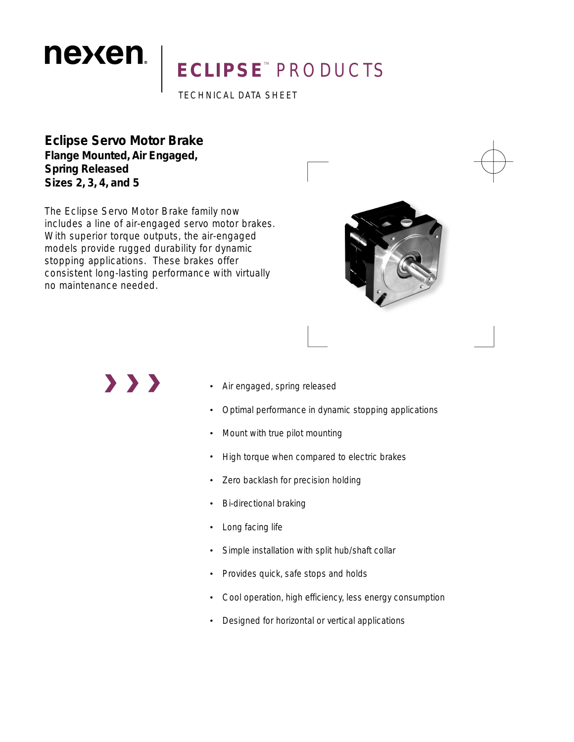# ECLIPSE<sup>®</sup> PRODUCTS

TECHNICAL DATA SHEET

**Eclipse Servo Motor Brake Flange Mounted, Air Engaged, Spring Released Sizes 2, 3, 4, and 5**

nexen.

The Eclipse Servo Motor Brake family now includes a line of air-engaged servo motor brakes. With superior torque outputs, the air-engaged models provide rugged durability for dynamic stopping applications. These brakes offer consistent long-lasting performance with virtually no maintenance needed.



 $\rightarrow$   $\rightarrow$   $\rightarrow$ 

- Air engaged, spring released •
- Optimal performance in dynamic stopping applications •
- Mount with true pilot mounting •
- High torque when compared to electric brakes •
- Zero backlash for precision holding •
- Bi-directional braking •
- Long facing life •
- Simple installation with split hub/shaft collar •
- Provides quick, safe stops and holds •
- Cool operation, high efficiency, less energy consumption •
- Designed for horizontal or vertical applications